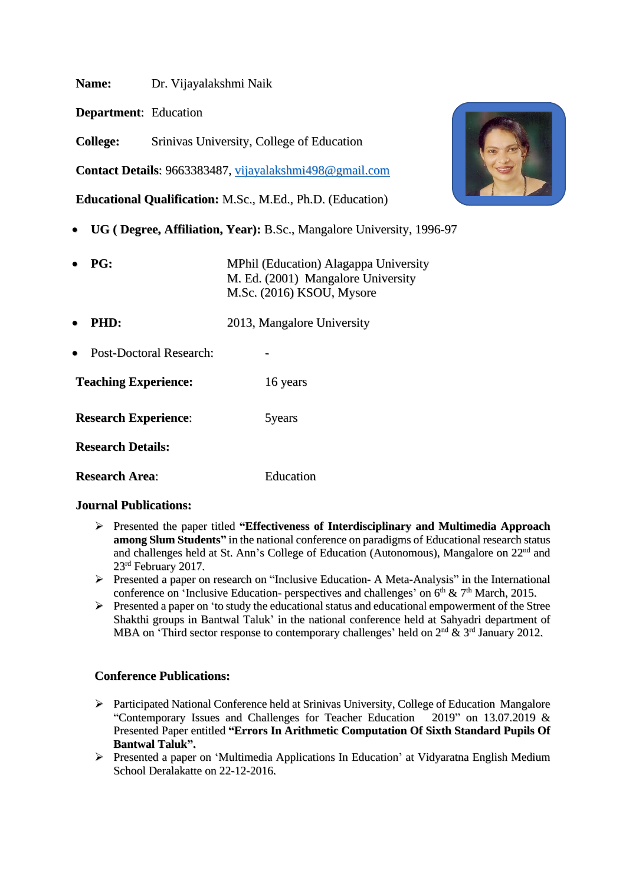**Name:** Dr. Vijayalakshmi Naik

**Department**: Education

**College:** Srinivas University, College of Education

**Contact Details**: 9663383487, [vijayalakshmi498@gmail.com](mailto:vijayalakshmi498@gmail.com)

**Educational Qualification:** M.Sc., M.Ed., Ph.D. (Education)

- **UG ( Degree, Affiliation, Year):** B.Sc., Mangalore University, 1996-97
- **PG:** MPhil (Education) Alagappa University M. Ed. (2001) Mangalore University M.Sc. (2016) KSOU, Mysore
- **PHD:** 2013, Mangalore University
- Post-Doctoral Research:

**Teaching Experience:** 16 years

**Research Experience:** 5years

**Research Details:**

**Research Area**: Education

## **Journal Publications:**

- ➢ Presented the paper titled **"Effectiveness of Interdisciplinary and Multimedia Approach among Slum Students"** in the national conference on paradigms of Educational research status and challenges held at St. Ann's College of Education (Autonomous), Mangalore on 22<sup>nd</sup> and 23 rd February 2017.
- ➢ Presented a paper on research on "Inclusive Education- A Meta-Analysis" in the International conference on 'Inclusive Education- perspectives and challenges' on  $6<sup>th</sup>$  &  $7<sup>th</sup>$  March, 2015.
- $\triangleright$  Presented a paper on 'to study the educational status and educational empowerment of the Stree Shakthi groups in Bantwal Taluk' in the national conference held at Sahyadri department of MBA on 'Third sector response to contemporary challenges' held on  $2<sup>nd</sup>$  &  $3<sup>rd</sup>$  January 2012.

## **Conference Publications:**

- ➢ Participated National Conference held at Srinivas University, College of Education Mangalore "Contemporary Issues and Challenges for Teacher Education 2019" on 13.07.2019 & Presented Paper entitled **"Errors In Arithmetic Computation Of Sixth Standard Pupils Of Bantwal Taluk".**
- ➢ Presented a paper on 'Multimedia Applications In Education' at Vidyaratna English Medium School Deralakatte on 22-12-2016.